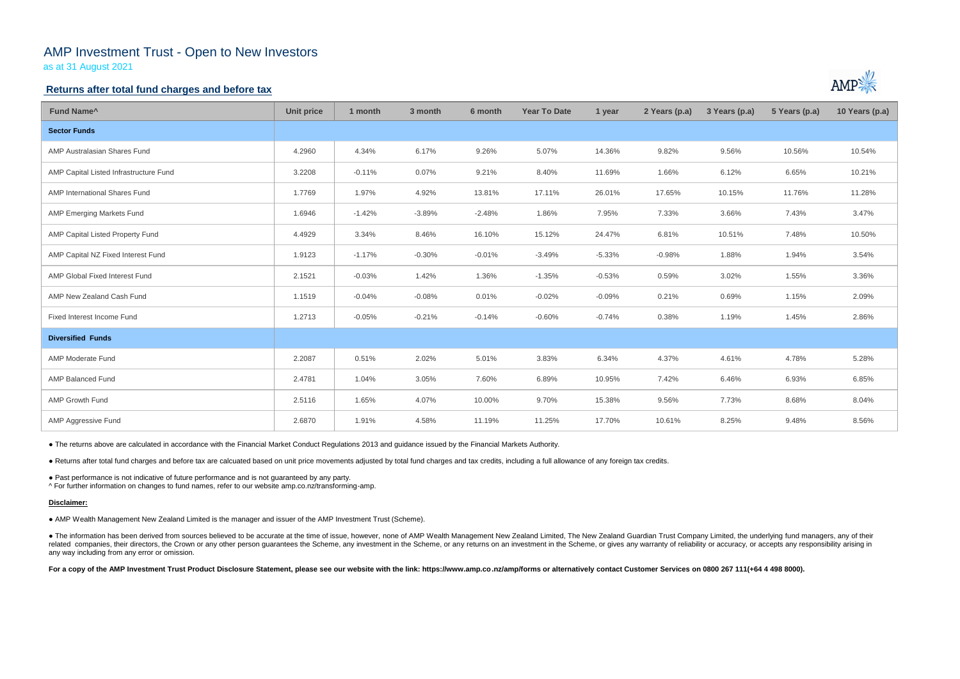# AMP Investment Trust - Open to New Investors

as at 31 August 2021

### **Returns after total fund charges and before tax**

| Fund Name <sup>^</sup>                 | <b>Unit price</b> | 1 month  | 3 month  | 6 month  | <b>Year To Date</b> | 1 year   | 2 Years (p.a) | 3 Years (p.a) | 5 Years (p.a) | 10 Years (p.a) |
|----------------------------------------|-------------------|----------|----------|----------|---------------------|----------|---------------|---------------|---------------|----------------|
| <b>Sector Funds</b>                    |                   |          |          |          |                     |          |               |               |               |                |
| AMP Australasian Shares Fund           | 4.2960            | 4.34%    | 6.17%    | 9.26%    | 5.07%               | 14.36%   | 9.82%         | 9.56%         | 10.56%        | 10.54%         |
| AMP Capital Listed Infrastructure Fund | 3.2208            | $-0.11%$ | 0.07%    | 9.21%    | 8.40%               | 11.69%   | 1.66%         | 6.12%         | 6.65%         | 10.21%         |
| AMP International Shares Fund          | 1.7769            | 1.97%    | 4.92%    | 13.81%   | 17.11%              | 26.01%   | 17.65%        | 10.15%        | 11.76%        | 11.28%         |
| <b>AMP Emerging Markets Fund</b>       | 1.6946            | $-1.42%$ | $-3.89%$ | $-2.48%$ | 1.86%               | 7.95%    | 7.33%         | 3.66%         | 7.43%         | 3.47%          |
| AMP Capital Listed Property Fund       | 4.4929            | 3.34%    | 8.46%    | 16.10%   | 15.12%              | 24.47%   | 6.81%         | 10.51%        | 7.48%         | 10.50%         |
| AMP Capital NZ Fixed Interest Fund     | 1.9123            | $-1.17%$ | $-0.30%$ | $-0.01%$ | $-3.49%$            | $-5.33%$ | $-0.98%$      | 1.88%         | 1.94%         | 3.54%          |
| AMP Global Fixed Interest Fund         | 2.1521            | $-0.03%$ | 1.42%    | 1.36%    | $-1.35%$            | $-0.53%$ | 0.59%         | 3.02%         | 1.55%         | 3.36%          |
| AMP New Zealand Cash Fund              | 1.1519            | $-0.04%$ | $-0.08%$ | 0.01%    | $-0.02%$            | $-0.09%$ | 0.21%         | 0.69%         | 1.15%         | 2.09%          |
| Fixed Interest Income Fund             | 1.2713            | $-0.05%$ | $-0.21%$ | $-0.14%$ | $-0.60%$            | $-0.74%$ | 0.38%         | 1.19%         | 1.45%         | 2.86%          |
| <b>Diversified Funds</b>               |                   |          |          |          |                     |          |               |               |               |                |
| <b>AMP Moderate Fund</b>               | 2.2087            | 0.51%    | 2.02%    | 5.01%    | 3.83%               | 6.34%    | 4.37%         | 4.61%         | 4.78%         | 5.28%          |
| <b>AMP Balanced Fund</b>               | 2.4781            | 1.04%    | 3.05%    | 7.60%    | 6.89%               | 10.95%   | 7.42%         | 6.46%         | 6.93%         | 6.85%          |
| AMP Growth Fund                        | 2.5116            | 1.65%    | 4.07%    | 10.00%   | 9.70%               | 15.38%   | 9.56%         | 7.73%         | 8.68%         | 8.04%          |
| AMP Aggressive Fund                    | 2.6870            | 1.91%    | 4.58%    | 11.19%   | 11.25%              | 17.70%   | 10.61%        | 8.25%         | 9.48%         | 8.56%          |

• The information has been derived from sources believed to be accurate at the time of issue, however, none of AMP Wealth Management New Zealand Limited, The New Zealand Guardian Trust Company Limited, the underlying fund related companies, their directors, the Crown or any other person guarantees the Scheme, any investment in the Scheme, or any returns on an investment in the Scheme, or gives any warranty of reliability or accuracy, or acc any way including from any error or omission.

For a copy of the AMP Investment Trust Product Disclosure Statement, please see our website with the link: https://www.amp.co.nz/amp/forms or alternatively contact Customer Services on 0800 267 111(+64 4 498 8000).



● The returns above are calculated in accordance with the Financial Market Conduct Regulations 2013 and guidance issued by the Financial Markets Authority.

● Returns after total fund charges and before tax are calcuated based on unit price movements adjusted by total fund charges and tax credits, including a full allowance of any foreign tax credits.

● Past performance is not indicative of future performance and is not guaranteed by any party.

^ For further information on changes to fund names, refer to our website amp.co.nz/transforming-amp.

#### **Disclaimer:**

● AMP Wealth Management New Zealand Limited is the manager and issuer of the AMP Investment Trust (Scheme).